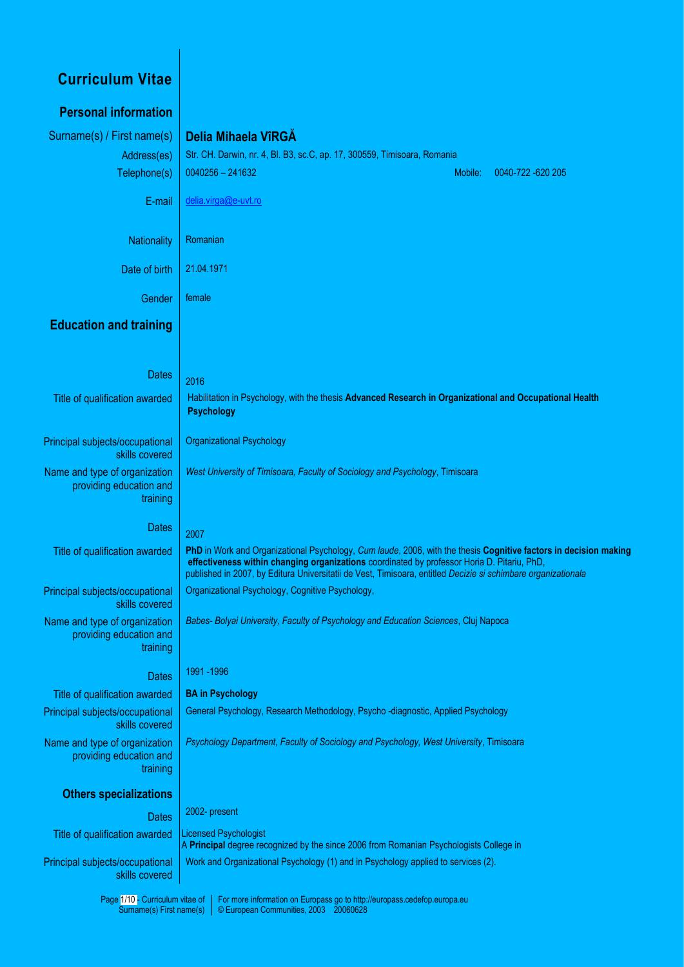| <b>Curriculum Vitae</b>                                              |                                                                                                                                                                                                                                                                                                                                  |
|----------------------------------------------------------------------|----------------------------------------------------------------------------------------------------------------------------------------------------------------------------------------------------------------------------------------------------------------------------------------------------------------------------------|
| <b>Personal information</b>                                          |                                                                                                                                                                                                                                                                                                                                  |
| Surname(s) / First name(s)                                           | Delia Mihaela VîRGA                                                                                                                                                                                                                                                                                                              |
| Address(es)                                                          | Str. CH. Darwin, nr. 4, Bl. B3, sc.C, ap. 17, 300559, Timisoara, Romania                                                                                                                                                                                                                                                         |
| Telephone(s)                                                         | $0040256 - 241632$<br>Mobile:<br>0040-722 -620 205                                                                                                                                                                                                                                                                               |
| E-mail                                                               | delia.virga@e-uvt.ro                                                                                                                                                                                                                                                                                                             |
| <b>Nationality</b>                                                   | Romanian                                                                                                                                                                                                                                                                                                                         |
| Date of birth                                                        | 21.04.1971                                                                                                                                                                                                                                                                                                                       |
| Gender                                                               | female                                                                                                                                                                                                                                                                                                                           |
| <b>Education and training</b>                                        |                                                                                                                                                                                                                                                                                                                                  |
| <b>Dates</b>                                                         |                                                                                                                                                                                                                                                                                                                                  |
|                                                                      | 2016                                                                                                                                                                                                                                                                                                                             |
| Title of qualification awarded                                       | Habilitation in Psychology, with the thesis Advanced Research in Organizational and Occupational Health<br><b>Psychology</b>                                                                                                                                                                                                     |
| Principal subjects/occupational<br>skills covered                    | <b>Organizational Psychology</b>                                                                                                                                                                                                                                                                                                 |
| Name and type of organization<br>providing education and<br>training | West University of Timisoara, Faculty of Sociology and Psychology, Timisoara                                                                                                                                                                                                                                                     |
| <b>Dates</b>                                                         | 2007                                                                                                                                                                                                                                                                                                                             |
| Title of qualification awarded                                       | PhD in Work and Organizational Psychology, Cum laude, 2006, with the thesis Cognitive factors in decision making<br>effectiveness within changing organizations coordinated by professor Horia D. Pitariu, PhD,<br>published in 2007, by Editura Universitatii de Vest, Timisoara, entitled Decizie si schimbare organizationala |
| Principal subjects/occupational<br>skills covered                    | Organizational Psychology, Cognitive Psychology,                                                                                                                                                                                                                                                                                 |
| Name and type of organization<br>providing education and<br>training | Babes- Bolyai University, Faculty of Psychology and Education Sciences, Cluj Napoca                                                                                                                                                                                                                                              |
| <b>Dates</b>                                                         | 1991 - 1996                                                                                                                                                                                                                                                                                                                      |
| Title of qualification awarded                                       | <b>BA in Psychology</b>                                                                                                                                                                                                                                                                                                          |
| Principal subjects/occupational<br>skills covered                    | General Psychology, Research Methodology, Psycho -diagnostic, Applied Psychology                                                                                                                                                                                                                                                 |
| Name and type of organization<br>providing education and<br>training | Psychology Department, Faculty of Sociology and Psychology, West University, Timisoara                                                                                                                                                                                                                                           |
| <b>Others specializations</b>                                        |                                                                                                                                                                                                                                                                                                                                  |
| <b>Dates</b>                                                         | 2002- present                                                                                                                                                                                                                                                                                                                    |
| Title of qualification awarded                                       | <b>Licensed Psychologist</b><br>A Principal degree recognized by the since 2006 from Romanian Psychologists College in                                                                                                                                                                                                           |
| Principal subjects/occupational<br>skills covered                    | Work and Organizational Psychology (1) and in Psychology applied to services (2).                                                                                                                                                                                                                                                |
| Page 1/10 - Curriculum vitae of<br>Surname(s) First name(s)          | For more information on Europass go to http://europass.cedefop.europa.eu<br>© European Communities, 2003 20060628                                                                                                                                                                                                                |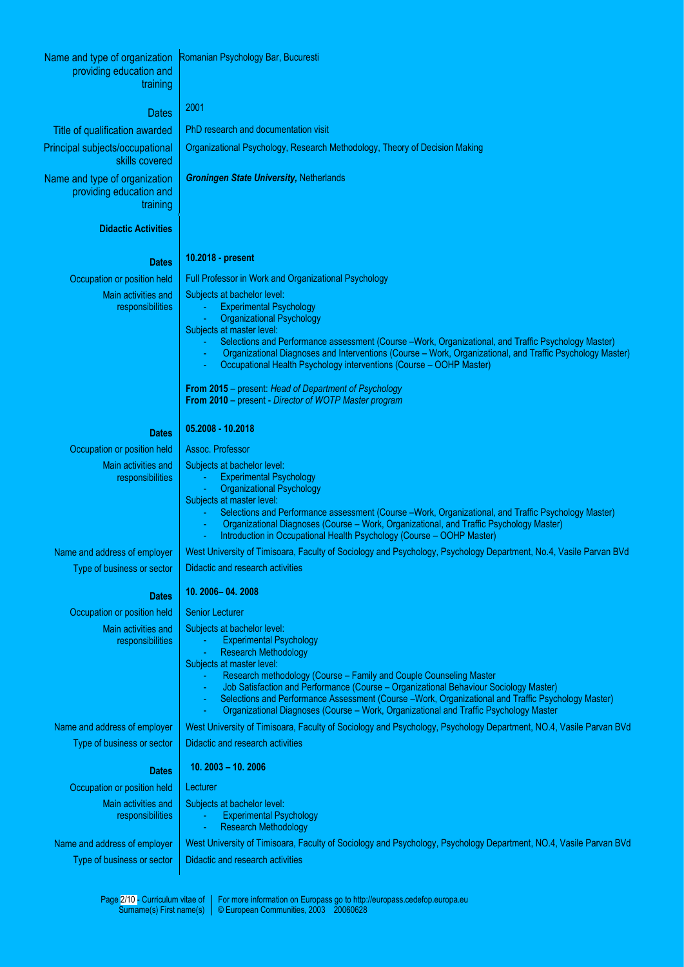| Name and type of organization                              | Romanian Psychology Bar, Bucuresti                                                                                                                                                                            |
|------------------------------------------------------------|---------------------------------------------------------------------------------------------------------------------------------------------------------------------------------------------------------------|
| providing education and                                    |                                                                                                                                                                                                               |
| training                                                   |                                                                                                                                                                                                               |
| <b>Dates</b>                                               | 2001                                                                                                                                                                                                          |
| Title of qualification awarded                             | PhD research and documentation visit                                                                                                                                                                          |
| Principal subjects/occupational                            | Organizational Psychology, Research Methodology, Theory of Decision Making                                                                                                                                    |
| skills covered                                             |                                                                                                                                                                                                               |
| Name and type of organization                              | <b>Groningen State University, Netherlands</b>                                                                                                                                                                |
| providing education and<br>training                        |                                                                                                                                                                                                               |
| <b>Didactic Activities</b>                                 |                                                                                                                                                                                                               |
|                                                            |                                                                                                                                                                                                               |
| <b>Dates</b>                                               | 10.2018 - present                                                                                                                                                                                             |
| Occupation or position held                                | Full Professor in Work and Organizational Psychology                                                                                                                                                          |
| Main activities and                                        | Subjects at bachelor level:                                                                                                                                                                                   |
| responsibilities                                           | <b>Experimental Psychology</b><br>$\blacksquare$<br><b>Organizational Psychology</b>                                                                                                                          |
|                                                            | Subjects at master level:                                                                                                                                                                                     |
|                                                            | Selections and Performance assessment (Course -Work, Organizational, and Traffic Psychology Master)                                                                                                           |
|                                                            | Organizational Diagnoses and Interventions (Course - Work, Organizational, and Traffic Psychology Master)<br>Occupational Health Psychology interventions (Course - OOHP Master)                              |
|                                                            | From 2015 – present: Head of Department of Psychology                                                                                                                                                         |
|                                                            | <b>From 2010</b> – present - Director of WOTP Master program                                                                                                                                                  |
| <b>Dates</b>                                               | 05.2008 - 10.2018                                                                                                                                                                                             |
| Occupation or position held                                | Assoc. Professor                                                                                                                                                                                              |
| Main activities and                                        | Subjects at bachelor level:                                                                                                                                                                                   |
| responsibilities                                           | <b>Experimental Psychology</b>                                                                                                                                                                                |
|                                                            | <b>Organizational Psychology</b><br>Subjects at master level:                                                                                                                                                 |
|                                                            | Selections and Performance assessment (Course -Work, Organizational, and Traffic Psychology Master)                                                                                                           |
|                                                            | Organizational Diagnoses (Course - Work, Organizational, and Traffic Psychology Master)<br>Introduction in Occupational Health Psychology (Course - OOHP Master)                                              |
| Name and address of employer                               | West University of Timisoara, Faculty of Sociology and Psychology, Psychology Department, No.4, Vasile Parvan BVd                                                                                             |
| Type of business or sector                                 | Didactic and research activities                                                                                                                                                                              |
| <b>Dates</b>                                               | 10. 2006 - 04. 2008                                                                                                                                                                                           |
| Occupation or position held                                | <b>Senior Lecturer</b>                                                                                                                                                                                        |
| Main activities and                                        | Subjects at bachelor level:                                                                                                                                                                                   |
| responsibilities                                           | <b>Experimental Psychology</b>                                                                                                                                                                                |
|                                                            | <b>Research Methodology</b><br>u,<br>Subjects at master level:                                                                                                                                                |
|                                                            | Research methodology (Course - Family and Couple Counseling Master                                                                                                                                            |
|                                                            | Job Satisfaction and Performance (Course - Organizational Behaviour Sociology Master)<br>$\blacksquare$<br>Selections and Performance Assessment (Course -Work, Organizational and Traffic Psychology Master) |
|                                                            | ÷<br>Organizational Diagnoses (Course - Work, Organizational and Traffic Psychology Master                                                                                                                    |
| Name and address of employer                               | West University of Timisoara, Faculty of Sociology and Psychology, Psychology Department, NO.4, Vasile Parvan BVd                                                                                             |
| Type of business or sector                                 | Didactic and research activities                                                                                                                                                                              |
| <b>Dates</b>                                               | $10.2003 - 10.2006$                                                                                                                                                                                           |
| Occupation or position held                                | Lecturer                                                                                                                                                                                                      |
| Main activities and                                        | Subjects at bachelor level:                                                                                                                                                                                   |
| responsibilities                                           | <b>Experimental Psychology</b><br><b>Research Methodology</b>                                                                                                                                                 |
|                                                            | $\blacksquare$<br>West University of Timisoara, Faculty of Sociology and Psychology, Psychology Department, NO.4, Vasile Parvan BVd                                                                           |
| Name and address of employer<br>Type of business or sector | Didactic and research activities                                                                                                                                                                              |
|                                                            |                                                                                                                                                                                                               |

Page 2/10 - Curriculum vitae of Surname(s) First name(s) For more information on Europass go to http://europass.cedefop.europa.eu © European Communities, 2003 20060628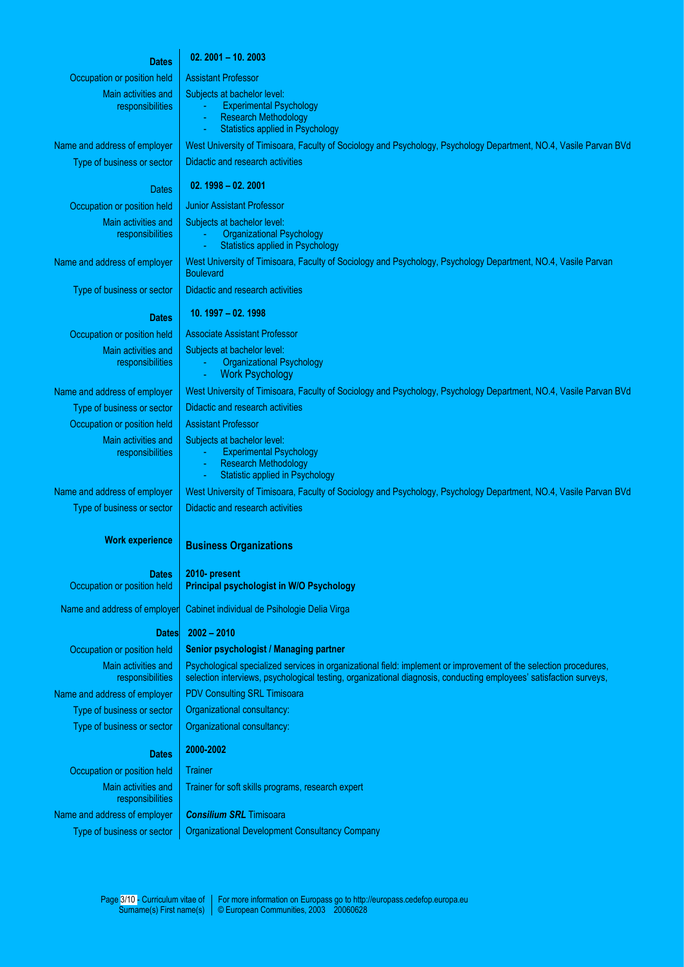## **Dates 02. 2001 – 10. 2003**

Occupation or position held | Assistant Professor Main activities and

responsibilities

Subjects at bachelor level:

- Experimental Psychology
- Research Methodology
- Statistics applied in Psychology

Main activities and

responsibilities

Main activities and responsibilities

Occupation or position held | Assistant Professor Main activities and responsibilities

Type of business or sector

#### **Work experience**

**Dates** Occupation or position held

Name and address of employe

#### **Dates**

# Main activities and responsibilities Name and address of employer | PDV Consulting SRL Timisoara Type of business or sector  $\vert$  Organizational consultancy: Type of business or sector  $\vert$  Organizational consultancy:

Main activities and responsibilities Name and address of employer **Consilium SRL** Timisoara

Name and address of employer West University of Timisoara, Faculty of Sociology and Psychology, Psychology Department, NO.4, Vasile Parvan BVd Type of business or sector  $\parallel$  Didactic and research activities

# Dates **02. 1998 – 02. 2001**

Occupation or position held | Junior Assistant Professor

Subjects at bachelor level:

- **Organizational Psychology**
- Statistics applied in Psychology

Name and address of employer | West University of Timisoara, Faculty of Sociology and Psychology, Psychology Department, NO.4, Vasile Parvan

Type of business or sector  $\parallel$  Didactic and research activities

### **Dates 10. 1997 – 02. 1998**

Occupation or position held | Associate Assistant Professor

Subjects at bachelor level:

- Organizational Psychology **Work Psychology**
- 

Name and address of employer | West University of Timisoara, Faculty of Sociology and Psychology, Psychology Department, NO.4, Vasile Parvan BVd

#### Type of business or sector  $\vert$  Didactic and research activities

- Subjects at bachelor level:
	- Experimental Psychology
	- **Research Methodology** Statistic applied in Psychology

Name and address of employer West University of Timisoara, Faculty of Sociology and Psychology, Psychology Department, NO.4, Vasile Parvan BVd Didactic and research activities

### **Business Organizations**

**2010- present Principal psychologist in W/O Psychology**

Cabinet individual de Psihologie Delia Virga

### **2002 – 2010**

# Occupation or position held | Senior psychologist / Managing partner

Psychological specialized services in organizational field: implement or improvement of the selection procedures, selection interviews, psychological testing, organizational diagnosis, conducting employees' satisfaction surveys,

# **Dates 2000-2002**

Occupation or position held Trainer

Trainer for soft skills programs, research expert

Type of business or sector | Organizational Development Consultancy Company

**Boulevard**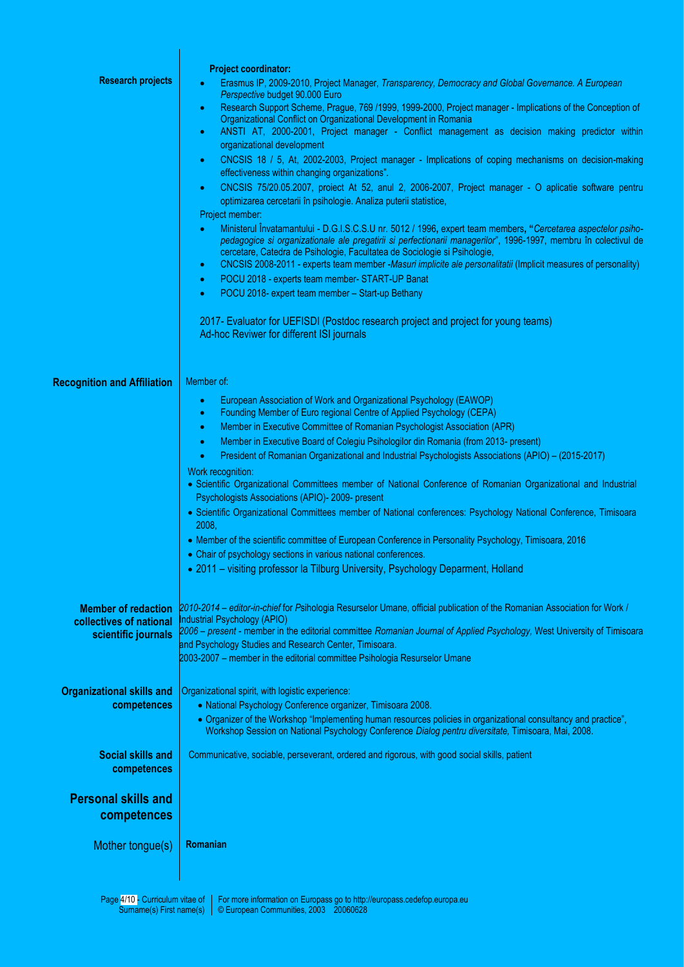|                                                       | <b>Project coordinator:</b>                                                                                                                                                                                                                                                                                                                   |
|-------------------------------------------------------|-----------------------------------------------------------------------------------------------------------------------------------------------------------------------------------------------------------------------------------------------------------------------------------------------------------------------------------------------|
| <b>Research projects</b>                              | Erasmus IP, 2009-2010, Project Manager, Transparency, Democracy and Global Governance. A European<br>Perspective budget 90.000 Euro                                                                                                                                                                                                           |
|                                                       | Research Support Scheme, Prague, 769 / 1999, 1999-2000, Project manager - Implications of the Conception of<br>۰<br>Organizational Conflict on Organizational Development in Romania                                                                                                                                                          |
|                                                       | ANSTI AT, 2000-2001, Project manager - Conflict management as decision making predictor within<br>٠<br>organizational development                                                                                                                                                                                                             |
|                                                       | CNCSIS 18 / 5, At, 2002-2003, Project manager - Implications of coping mechanisms on decision-making<br>$\bullet$<br>effectiveness within changing organizations".                                                                                                                                                                            |
|                                                       | CNCSIS 75/20.05.2007, proiect At 52, anul 2, 2006-2007, Project manager - O aplicatie software pentru<br>$\bullet$<br>optimizarea cercetarii în psihologie. Analiza puterii statistice,                                                                                                                                                       |
|                                                       | Project member:<br>Ministerul Învatamantului - D.G.I.S.C.S.U nr. 5012 / 1996, expert team members, "Cercetarea aspectelor psiho-<br>$\bullet$<br>pedagogice si organizationale ale pregatirii si perfectionarii managerilor", 1996-1997, membru în colectivul de<br>cercetare, Catedra de Psihologie, Facultatea de Sociologie si Psihologie, |
|                                                       | CNCSIS 2008-2011 - experts team member -Masuri implicite ale personalitatii (Implicit measures of personality)<br>$\bullet$                                                                                                                                                                                                                   |
|                                                       | POCU 2018 - experts team member- START-UP Banat<br>$\bullet$                                                                                                                                                                                                                                                                                  |
|                                                       | POCU 2018- expert team member - Start-up Bethany<br>۰                                                                                                                                                                                                                                                                                         |
|                                                       | 2017- Evaluator for UEFISDI (Postdoc research project and project for young teams)<br>Ad-hoc Reviwer for different ISI journals                                                                                                                                                                                                               |
| <b>Recognition and Affiliation</b>                    | Member of:                                                                                                                                                                                                                                                                                                                                    |
|                                                       | European Association of Work and Organizational Psychology (EAWOP)                                                                                                                                                                                                                                                                            |
|                                                       | Founding Member of Euro regional Centre of Applied Psychology (CEPA)<br>٠                                                                                                                                                                                                                                                                     |
|                                                       | Member in Executive Committee of Romanian Psychologist Association (APR)<br>٠                                                                                                                                                                                                                                                                 |
|                                                       | Member in Executive Board of Colegiu Psihologilor din Romania (from 2013- present)<br>٠                                                                                                                                                                                                                                                       |
|                                                       | President of Romanian Organizational and Industrial Psychologists Associations (APIO) - (2015-2017)                                                                                                                                                                                                                                           |
|                                                       | Work recognition:<br>• Scientific Organizational Committees member of National Conference of Romanian Organizational and Industrial<br>Psychologists Associations (APIO)- 2009- present                                                                                                                                                       |
|                                                       | • Scientific Organizational Committees member of National conferences: Psychology National Conference, Timisoara<br>2008,                                                                                                                                                                                                                     |
|                                                       | • Member of the scientific committee of European Conference in Personality Psychology, Timisoara, 2016                                                                                                                                                                                                                                        |
|                                                       | • Chair of psychology sections in various national conferences.<br>• 2011 - visiting professor la Tilburg University, Psychology Deparment, Holland                                                                                                                                                                                           |
|                                                       |                                                                                                                                                                                                                                                                                                                                               |
| <b>Member of redaction</b><br>collectives of national | 2010-2014 - editor-in-chief for Psihologia Resurselor Umane, official publication of the Romanian Association for Work /<br>Industrial Psychology (APIO)                                                                                                                                                                                      |
| scientific journals                                   | 2006 - present - member in the editorial committee Romanian Journal of Applied Psychology, West University of Timisoara<br>and Psychology Studies and Research Center, Timisoara.                                                                                                                                                             |
|                                                       | 2003-2007 - member in the editorial committee Psihologia Resurselor Umane                                                                                                                                                                                                                                                                     |
| <b>Organizational skills and</b>                      | Organizational spirit, with logistic experience:                                                                                                                                                                                                                                                                                              |
| competences                                           | • National Psychology Conference organizer, Timisoara 2008.                                                                                                                                                                                                                                                                                   |
|                                                       | • Organizer of the Workshop "Implementing human resources policies in organizational consultancy and practice",<br>Workshop Session on National Psychology Conference Dialog pentru diversitate, Timisoara, Mai, 2008.                                                                                                                        |
| <b>Social skills and</b><br>competences               | Communicative, sociable, perseverant, ordered and rigorous, with good social skills, patient                                                                                                                                                                                                                                                  |
| <b>Personal skills and</b><br>competences             |                                                                                                                                                                                                                                                                                                                                               |
| Mother tongue(s)                                      | Romanian                                                                                                                                                                                                                                                                                                                                      |
|                                                       |                                                                                                                                                                                                                                                                                                                                               |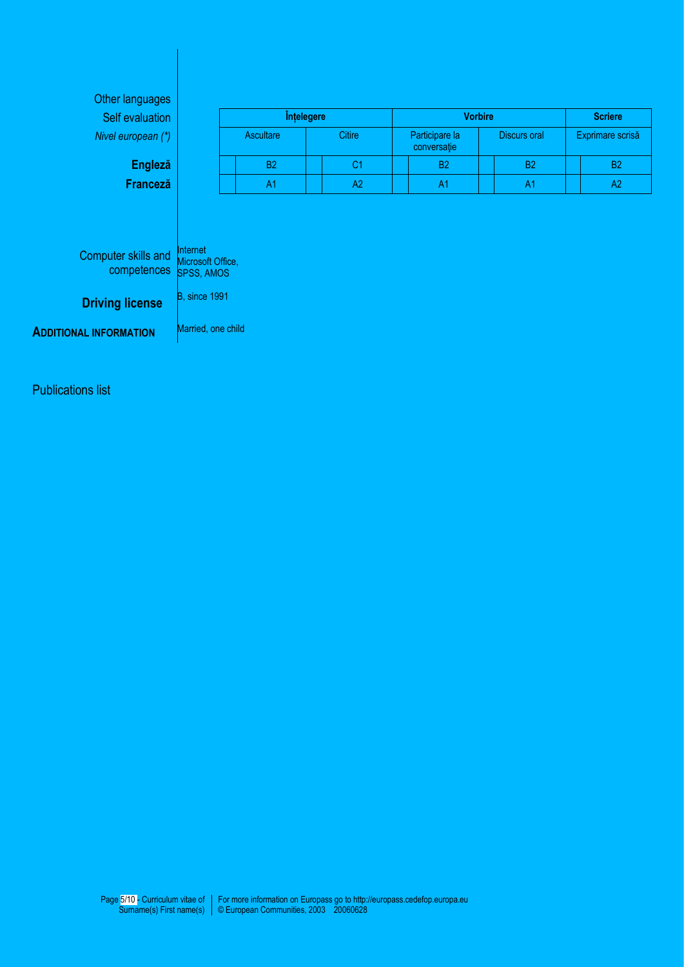| Self evaluation                    |                                                    | Înțelegere       |                | <b>Vorbire</b>                |                     | <b>Scriere</b>   |
|------------------------------------|----------------------------------------------------|------------------|----------------|-------------------------------|---------------------|------------------|
| Nivel european (*)                 |                                                    | <b>Ascultare</b> | <b>Citire</b>  | Participare la<br>conversație | <b>Discurs oral</b> | Exprimare scrisă |
| <b>Engleză</b>                     |                                                    | <b>B2</b>        | C <sub>1</sub> | <b>B2</b>                     | B <sub>2</sub>      | <b>B2</b>        |
| Franceză                           |                                                    | A <sub>1</sub>   | A2             | A <sub>1</sub>                | A1                  | A <sub>2</sub>   |
|                                    |                                                    |                  |                |                               |                     |                  |
| Computer skills and<br>competences | Internet<br>Microsoft Office,<br><b>SPSS, AMOS</b> |                  |                |                               |                     |                  |
| <b>Driving license</b>             | B, since 1991                                      |                  |                |                               |                     |                  |

Publications list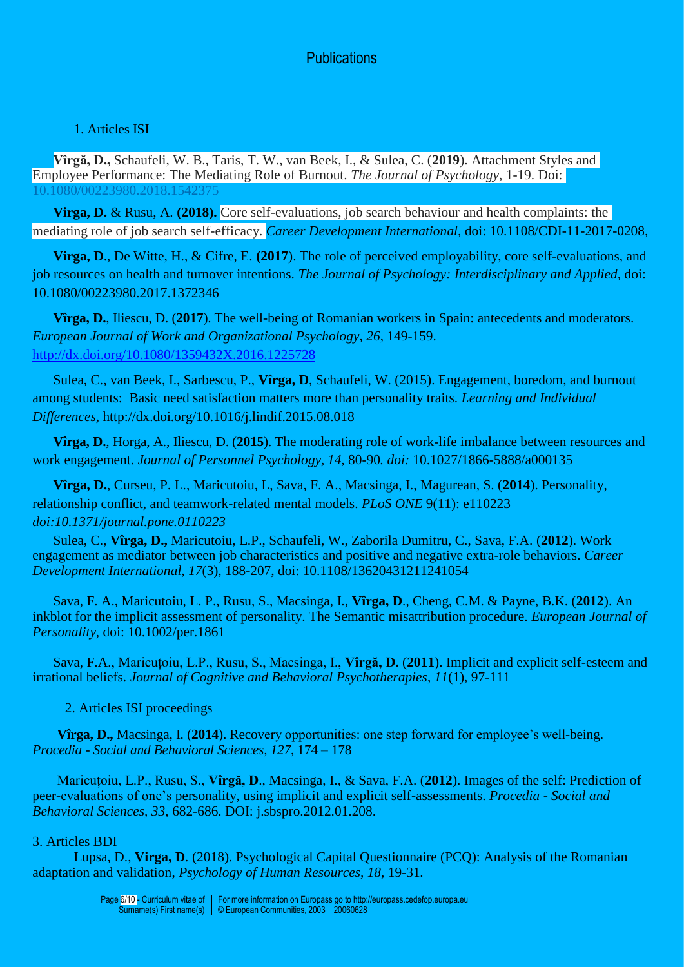# **Publications**

# 1. Articles ISI

**Vîrgă, D.,** Schaufeli, W. B., Taris, T. W., van Beek, I., & Sulea, C. (**2019**). Attachment Styles and Employee Performance: The Mediating Role of Burnout. *The Journal of Psychology*, 1-19. Doi: [10.1080/00223980.2018.1542375](https://doi.org/10.1080/00223980.2018.1542375)

**Virga, D.** & Rusu, A. **(2018).** Core self-evaluations, job search behaviour and health complaints: the mediating role of job search self-efficacy. *Career Development International,* doi: 10.1108/CDI-11-2017-0208*,*

**Virga, D**., De Witte, H., & Cifre, E. **(2017**). The role of perceived employability, core self-evaluations, and job resources on health and turnover intentions. *The Journal of Psychology: Interdisciplinary and Applied,* doi: 10.1080/00223980.2017.1372346

**Vîrga, D.**, Iliescu, D. (**2017**). The well-being of Romanian workers in Spain: antecedents and moderators. *European Journal of Work and Organizational Psychology*, *26*, 149-159. <http://dx.doi.org/10.1080/1359432X.2016.1225728>

Sulea, C., van Beek, I., Sarbescu, P., **Vîrga, D**, Schaufeli, W. (2015). Engagement, boredom, and burnout among students: Basic need satisfaction matters more than personality traits. *Learning and Individual Differences,* http://dx.doi.org/10.1016/j.lindif.2015.08.018

**Vîrga, D.**, Horga, A., Iliescu, D. (**2015**). The moderating role of work-life imbalance between resources and work engagement. *Journal of Personnel Psychology, 14,* 80-90*. doi:* 10.1027/1866-5888/a000135

**Vîrga, D.**, Curseu, P. L., Maricutoiu, L, Sava, F. A., Macsinga, I., Magurean, S. (**2014**). Personality, relationship conflict, and teamwork-related mental models. *PLoS ONE* 9(11): e110223 *doi:10.1371/journal.pone.0110223*

Sulea, C., **Vîrga, D.,** Maricutoiu, L.P., Schaufeli, W., Zaborila Dumitru, C., Sava, F.A. (**2012**). Work engagement as mediator between job characteristics and positive and negative extra-role behaviors. *Career Development International, 17*(3), 188-207, doi: 10.1108/13620431211241054

Sava, F. A., Maricutoiu, L. P., Rusu, S., Macsinga, I., **Vîrga, D**., Cheng, C.M. & Payne, B.K. (**2012**). An inkblot for the implicit assessment of personality. The Semantic misattribution procedure. *European Journal of Personality,* doi: 10.1002/per.1861

Sava, F.A., Maricuțoiu, L.P., Rusu, S., Macsinga, I., **Vîrgă, D.** (**2011**). Implicit and explicit self-esteem and irrational beliefs. *Journal of Cognitive and Behavioral Psychotherapies*, *11*(1), 97-111

2. Articles ISI proceedings

**Vîrga, D.,** Macsinga, I. (**2014**). Recovery opportunities: one step forward for employee's well-being. *Procedia - Social and Behavioral Sciences, 127*, 174 – 178

Maricuțoiu, L.P., Rusu, S., **Vîrgă, D**., Macsinga, I., & Sava, F.A. (**2012**). Images of the self: Prediction of peer-evaluations of one's personality, using implicit and explicit self-assessments. *Procedia - Social and Behavioral Sciences, 33*, 682-686. DOI: j.sbspro.2012.01.208.

# 3. Articles BDI

Lupsa, D., **Virga, D**. (2018). Psychological Capital Questionnaire (PCQ): Analysis of the Romanian adaptation and validation, *Psychology of Human Resources, 18,* 19-31*.*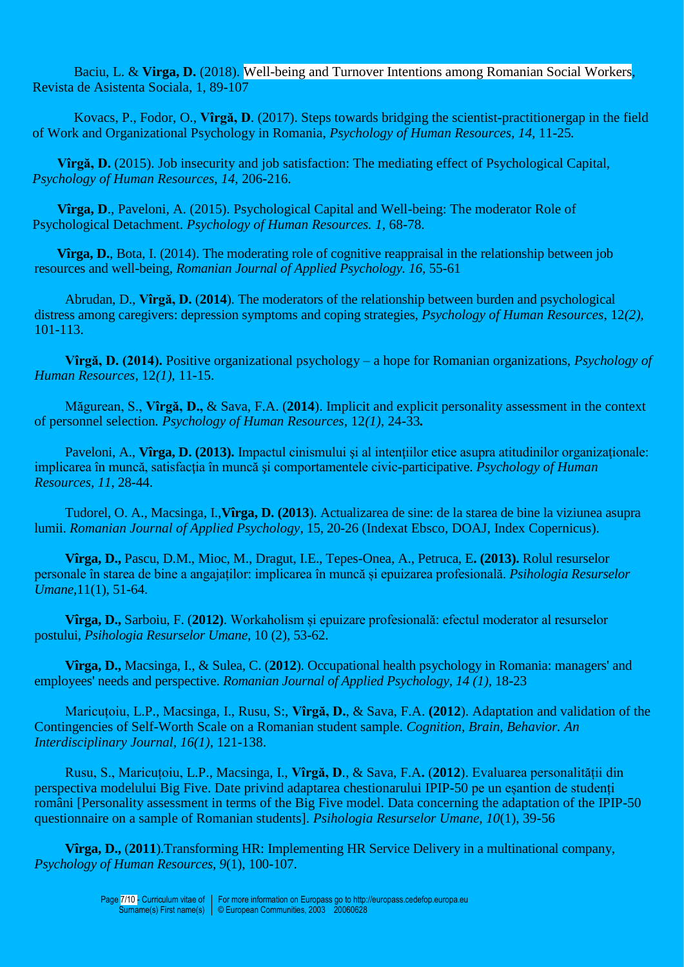Baciu, L. & **Virga, D.** (2018). [Well-being and Turnover Intentions among Romanian Social Workers,](http://search.proquest.com/openview/ec2f6ea3250ea0c499253499b31e78e0/1?pq-origsite=gscholar&cbl=105838) Revista de Asistenta Sociala, 1, 89-107

Kovacs, P., Fodor, O., **Vîrgă, D**. (2017). Steps towards bridging the scientist-practitionergap in the field of Work and Organizational Psychology in Romania, *Psychology of Human Resources, 14,* 11-25*.*

**Vîrgă, D.** (2015). Job insecurity and job satisfaction: The mediating effect of Psychological Capital, *Psychology of Human Resources, 14,* 206-216.

**Vîrga, D**., Paveloni, A. (2015). Psychological Capital and Well-being: The moderator Role of Psychological Detachment. *Psychology of Human Resources. 1,* 68-78.

**Vîrga, D.**, Bota, I. (2014). The moderating role of cognitive reappraisal in the relationship between job resources and well-being, *Romanian Journal of Applied Psychology. 16,* 55-61

Abrudan, D., **Vîrgă, D.** (**2014**). The moderators of the relationship between burden and psychological distress among caregivers: depression symptoms and coping strategies, *Psychology of Human Resources*, 12*(2),*  101-113.

**Vîrgă, D. (2014).** Positive organizational psychology – a hope for Romanian organizations, *Psychology of Human Resources*, 12*(1),* 11-15.

Măgurean, S., **Vîrgă, D.,** & Sava, F.A. (**2014**). Implicit and explicit personality assessment in the context of personnel selection*. Psychology of Human Resources*, 12*(1),* 24-33*.*

Paveloni, A., **Vîrga, D. (2013).** Impactul cinismului și al intențiilor etice asupra atitudinilor organizaționale: implicarea în muncă, satisfacţia în muncă şi comportamentele civic-participative. *Psychology of Human Resources, 11*, 28-44.

Tudorel, O. A., Macsinga, I.,**Vîrga, D. (2013**). Actualizarea de sine: de la starea de bine la viziunea asupra lumii. *Romanian Journal of Applied Psychology*, 15, 20-26 (Indexat Ebsco, DOAJ, Index Copernicus).

**Vîrga, D.,** Pascu, D.M., Mioc, M., Dragut, I.E., Tepes-Onea, A., Petruca, E**. (2013).** Rolul resurselor personale în starea de bine a angajaților: implicarea în muncă și epuizarea profesională. *Psihologia Resurselor Umane,*11(1), 51-64.

**Vîrga, D.,** Sarboiu, F. (**2012)**. Workaholism și epuizare profesională: efectul moderator al resurselor postului, *Psihologia Resurselor Umane*, 10 (2), 53-62.

**Vîrga, D.,** Macsinga, I., & Sulea, C. (**2012**). Occupational health psychology in Romania: managers' and employees' needs and perspective. *Romanian Journal of Applied Psychology, 14 (1)*, 18-23

Maricuțoiu, L.P., Macsinga, I., Rusu, S:, **Vîrgă, D.**, & Sava, F.A. **(2012**). Adaptation and validation of the Contingencies of Self-Worth Scale on a Romanian student sample. *Cognition, Brain, Behavior. An Interdisciplinary Journal, 16(1)*, 121-138.

Rusu, S., Maricuțoiu, L.P., Macsinga, I., **Vîrgă, D**., & Sava, F.A**.** (**2012**). Evaluarea personalității din perspectiva modelului Big Five. Date privind adaptarea chestionarului IPIP-50 pe un eșantion de studenți români [Personality assessment in terms of the Big Five model. Data concerning the adaptation of the IPIP-50 questionnaire on a sample of Romanian students]. *Psihologia Resurselor Umane, 10*(1), 39-56

**Vîrga, D.,** (**2011**).Transforming HR: Implementing HR Service Delivery in a multinational company, *Psychology of Human Resources*, *9*(1), 100-107.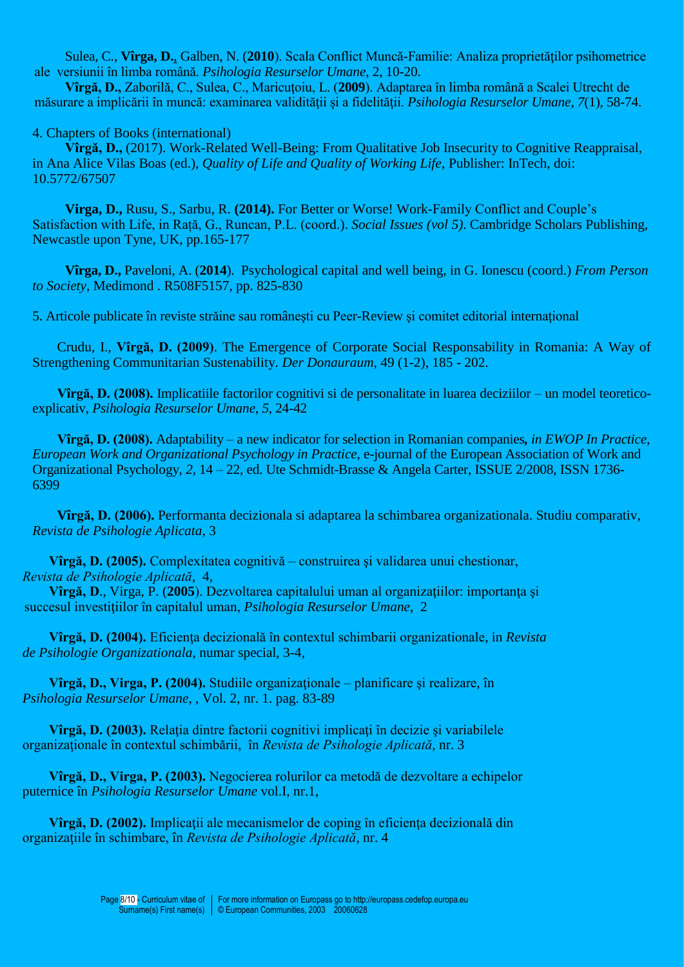Sulea, C., **Vîrga, D.**, Galben, N. (**2010**). Scala Conflict Muncă-Familie: Analiza proprietăţilor psihometrice ale versiunii în limba română. *Psihologia Resurselor Umane*, 2, 10-20.

**Vîrgă, D., Zaborilă, C., Sulea, C., Maricutoiu, L. (2009). Adaptarea în limba română a Scalei Utrecht de** măsurare a implicării în muncă: examinarea validităţii şi a fidelităţii. *Psihologia Resurselor Umane*, *7*(1), 58-74.

# 4. Chapters of Books (international)

**Vîrgă, D.,** (2017). Work-Related Well-Being: From Qualitative Job Insecurity to Cognitive Reappraisal, in Ana Alice Vilas Boas (ed.), *Quality of Life and Quality of Working Life*, Publisher: InTech, doi: 10.5772/67507

**Virga, D.,** Rusu, S., Sarbu, R. **(2014).** For Better or Worse! Work-Family Conflict and Couple's Satisfaction with Life, in Rață, G., Runcan, P.L. (coord.). *Social Issues (vol 5)*. Cambridge Scholars Publishing, Newcastle upon Tyne, UK, pp.165-177

**Vîrga, D.,** Paveloni, A. (**2014**). Psychological capital and well being, in G. Ionescu (coord.) *From Person to Society,* Medimond . R508F5157, pp. 825-830

5. Articole publicate în reviste străine sau româneşti cu Peer-Review şi comitet editorial internaţional

Crudu, I., **Vîrgă, D. (2009)**. The Emergence of Corporate Social Responsability in Romania: A Way of Strengthening Communitarian Sustenability. *Der Donauraum*, 49 (1-2), 185 - 202.

**Vîrgă, D. (2008).** Implicatiile factorilor cognitivi si de personalitate in luarea deciziilor – un model teoreticoexplicativ, *Psihologia Resurselor Umane*, *5*, 24-42

**Vîrgă, D. (2008).** Adaptability – a new indicator for selection in Romanian companies*, in EWOP In Practice, European Work and Organizational Psychology in Practice,* e-journal of the European Association of Work and Organizational Psychology, *2*, 14 – 22, ed. Ute Schmidt-Brasse & Angela Carter, ISSUE 2/2008, ISSN 1736- 6399

**Vîrgă, D. (2006).** Performanta decizionala si adaptarea la schimbarea organizationala. Studiu comparativ, *Revista de Psihologie Aplicata*, 3

**Vîrgă, D. (2005).** Complexitatea cognitivă – construirea şi validarea unui chestionar, *Revista de Psihologie Aplicată*, 4,

**Vîrgă, D**., Virga, P. (**2005**). Dezvoltarea capitalului uman al organizaţiilor: importanţa şi succesul investiţiilor în capitalul uman, *Psihologia Resurselor Umane*, 2

**Vîrgă, D. (2004).** Eficienţa decizională în contextul schimbarii organizationale, in *Revista de Psihologie Organizationala*, numar special, 3-4,

**Vîrgă, D., Virga, P. (2004).** Studiile organizaţionale – planificare şi realizare, în *Psihologia Resurselor Umane*, , Vol. 2, nr. 1. pag. 83-89

**Vîrgă, D. (2003).** Relaţia dintre factorii cognitivi implicaţi în decizie şi variabilele organizaţionale în contextul schimbării, în *Revista de Psihologie Aplicată*, nr. 3

**Vîrgă, D., Virga, P. (2003).** Negocierea rolurilor ca metodă de dezvoltare a echipelor puternice în *Psihologia Resurselor Umane* vol.I, nr.1,

**Vîrgă, D. (2002).** Implicații ale mecanismelor de coping în eficiența decizională din organizaţiile în schimbare, în *Revista de Psihologie Aplicată*, nr. 4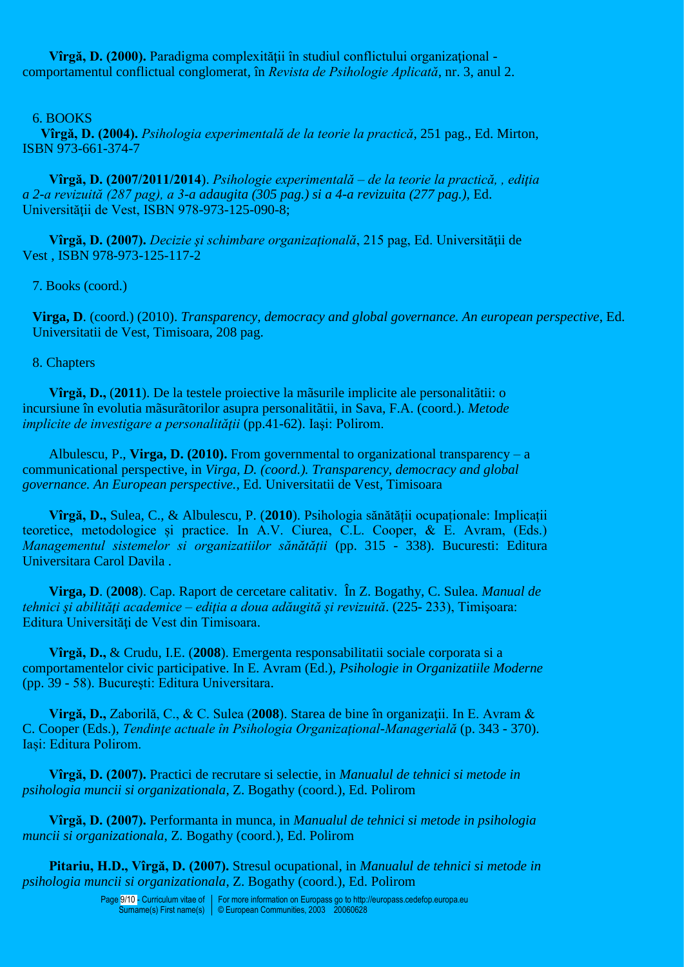Vîrgă, D. (2000). Paradigma complexității în studiul conflictului organizațional comportamentul conflictual conglomerat, în *Revista de Psihologie Aplicată*, nr. 3, anul 2.

## 6. BOOKS

**Vîrgă, D. (2004).** *Psihologia experimentală de la teorie la practică*, 251 pag., Ed. Mirton, ISBN 973-661-374-7

**Vîrgă, D. (2007/2011/2014**). *Psihologie experimentală – de la teorie la practică, , ediţia a 2-a revizuită (287 pag), a 3-a adaugita (305 pag.) si a 4-a revizuita (277 pag.)*, Ed. Universității de Vest, ISBN 978-973-125-090-8;

**Vîrgă, D. (2007).** *Decizie şi schimbare organizaţională*, 215 pag, Ed. Universităţii de Vest , ISBN 978-973-125-117-2

7. Books (coord.)

**Virga, D**. (coord.) (2010). *Transparency, democracy and global governance. An european perspective*, Ed. Universitatii de Vest, Timisoara, 208 pag.

8. Chapters

**Vîrgă, D.,** (**2011**). De la testele proiective la mãsurile implicite ale personalitãtii: o incursiune în evolutia mãsurãtorilor asupra personalitãtii, in Sava, F.A. (coord.). *Metode implicite de investigare a personalităţii* (pp.41-62). Iaşi: Polirom.

Albulescu, P., **Virga, D. (2010).** From governmental to organizational transparency – a communicational perspective, in *Virga, D. (coord.). Transparency, democracy and global governance. An European perspective.,* Ed. Universitatii de Vest, Timisoara

**Vîrgă, D.,** Sulea, C., & Albulescu, P. (**2010**). Psihologia sănătății ocupaționale: Implicații teoretice, metodologice și practice. In A.V. Ciurea, C.L. Cooper, & E. Avram, (Eds.) *Managementul sistemelor si organizatiilor sănătății* (pp. 315 - 338). Bucuresti: Editura Universitara Carol Davila .

**Virga, D**. (**2008**). Cap. Raport de cercetare calitativ. În Z. Bogathy, C. Sulea. *Manual de tehnici şi abilităţi academice – ediţia a doua adăugită şi revizuită*. (225- 233), Timişoara: Editura Universităţi de Vest din Timisoara.

**Vîrgă, D.,** & Crudu, I.E. (**2008**). Emergenta responsabilitatii sociale corporata si a comportamentelor civic participative. In E. Avram (Ed.), *Psihologie in Organizatiile Moderne* (pp. 39 - 58). Bucureşti: Editura Universitara.

**Virgă, D., Zaborilă, C., & C. Sulea (2008). Starea de bine în organizații. In E. Avram &** C. Cooper (Eds.), *Tendinţe actuale în Psihologia Organizaţional-Managerială* (p. 343 - 370). Iași: Editura Polirom.

**Vîrgă, D. (2007).** Practici de recrutare si selectie, in *Manualul de tehnici si metode in psihologia muncii si organizationala*, Z. Bogathy (coord.), Ed. Polirom

**Vîrgă, D. (2007).** Performanta in munca, in *Manualul de tehnici si metode in psihologia muncii si organizationala*, Z. Bogathy (coord.), Ed. Polirom

**Pitariu, H.D., Vîrgă, D. (2007).** Stresul ocupational, in *Manualul de tehnici si metode in psihologia muncii si organizationala*, Z. Bogathy (coord.), Ed. Polirom